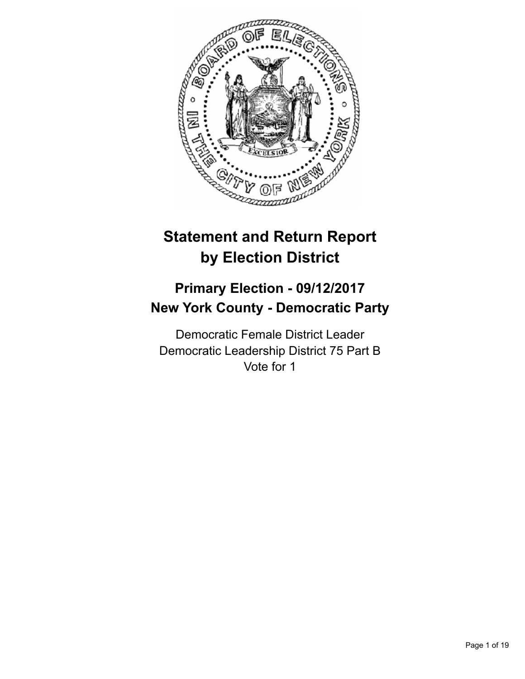

# **Statement and Return Report by Election District**

## **Primary Election - 09/12/2017 New York County - Democratic Party**

Democratic Female District Leader Democratic Leadership District 75 Part B Vote for 1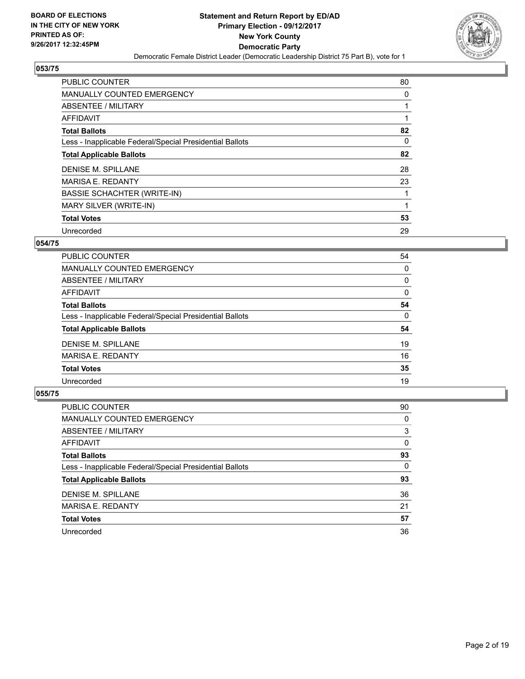

| <b>PUBLIC COUNTER</b>                                    | 80 |
|----------------------------------------------------------|----|
| <b>MANUALLY COUNTED EMERGENCY</b>                        | 0  |
| ABSENTEE / MILITARY                                      | 1  |
| <b>AFFIDAVIT</b>                                         |    |
| <b>Total Ballots</b>                                     | 82 |
| Less - Inapplicable Federal/Special Presidential Ballots | 0  |
| <b>Total Applicable Ballots</b>                          | 82 |
| DENISE M. SPILLANE                                       | 28 |
| <b>MARISA E. REDANTY</b>                                 | 23 |
| <b>BASSIE SCHACHTER (WRITE-IN)</b>                       | 1  |
| MARY SILVER (WRITE-IN)                                   |    |
| <b>Total Votes</b>                                       | 53 |
| Unrecorded                                               | 29 |

## **054/75**

| PUBLIC COUNTER                                           | 54 |
|----------------------------------------------------------|----|
| <b>MANUALLY COUNTED EMERGENCY</b>                        | 0  |
| ABSENTEE / MILITARY                                      | 0  |
| <b>AFFIDAVIT</b>                                         | 0  |
| <b>Total Ballots</b>                                     | 54 |
| Less - Inapplicable Federal/Special Presidential Ballots | 0  |
| <b>Total Applicable Ballots</b>                          | 54 |
| DENISE M. SPILLANE                                       | 19 |
| <b>MARISA E. REDANTY</b>                                 | 16 |
| <b>Total Votes</b>                                       | 35 |
| Unrecorded                                               | 19 |
|                                                          |    |

| <b>PUBLIC COUNTER</b>                                    | 90 |
|----------------------------------------------------------|----|
| MANUALLY COUNTED EMERGENCY                               | 0  |
| ABSENTEE / MILITARY                                      | 3  |
| AFFIDAVIT                                                | 0  |
| <b>Total Ballots</b>                                     | 93 |
| Less - Inapplicable Federal/Special Presidential Ballots | 0  |
| <b>Total Applicable Ballots</b>                          | 93 |
| DENISE M. SPILLANE                                       | 36 |
| <b>MARISA E. REDANTY</b>                                 | 21 |
| <b>Total Votes</b>                                       | 57 |
| Unrecorded                                               | 36 |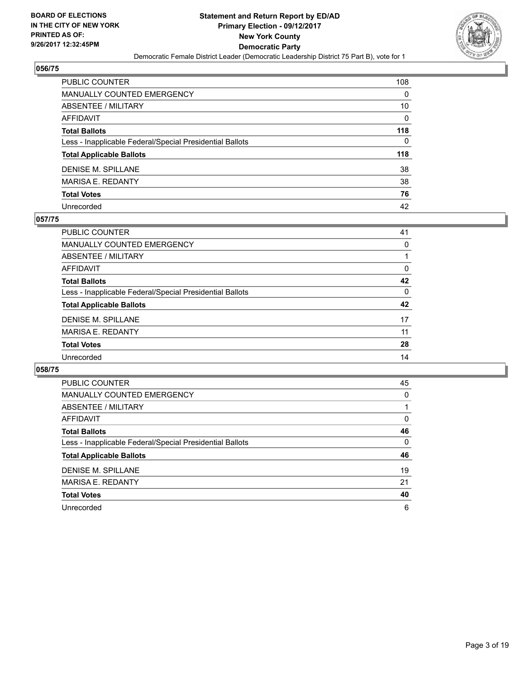

| PUBLIC COUNTER                                           | 108          |
|----------------------------------------------------------|--------------|
| <b>MANUALLY COUNTED EMERGENCY</b>                        | 0            |
| <b>ABSENTEE / MILITARY</b>                               | 10           |
| <b>AFFIDAVIT</b>                                         | $\mathbf{0}$ |
| <b>Total Ballots</b>                                     | 118          |
| Less - Inapplicable Federal/Special Presidential Ballots | 0            |
| <b>Total Applicable Ballots</b>                          | 118          |
| <b>DENISE M. SPILLANE</b>                                | 38           |
| <b>MARISA E. REDANTY</b>                                 | 38           |
| <b>Total Votes</b>                                       | 76           |
| Unrecorded                                               | 42           |

#### **057/75**

| <b>PUBLIC COUNTER</b>                                    | 41       |
|----------------------------------------------------------|----------|
| <b>MANUALLY COUNTED EMERGENCY</b>                        | 0        |
| ABSENTEE / MILITARY                                      |          |
| AFFIDAVIT                                                | $\Omega$ |
| <b>Total Ballots</b>                                     | 42       |
| Less - Inapplicable Federal/Special Presidential Ballots | 0        |
| <b>Total Applicable Ballots</b>                          | 42       |
| DENISE M. SPILLANE                                       | 17       |
| <b>MARISA E. REDANTY</b>                                 | 11       |
| <b>Total Votes</b>                                       | 28       |
| Unrecorded                                               | 14       |
|                                                          |          |

| <b>PUBLIC COUNTER</b>                                    | 45 |
|----------------------------------------------------------|----|
| <b>MANUALLY COUNTED EMERGENCY</b>                        | 0  |
| ABSENTEE / MILITARY                                      |    |
| <b>AFFIDAVIT</b>                                         | 0  |
| <b>Total Ballots</b>                                     | 46 |
| Less - Inapplicable Federal/Special Presidential Ballots | 0  |
| <b>Total Applicable Ballots</b>                          | 46 |
| <b>DENISE M. SPILLANE</b>                                | 19 |
| <b>MARISA E. REDANTY</b>                                 | 21 |
| <b>Total Votes</b>                                       | 40 |
|                                                          |    |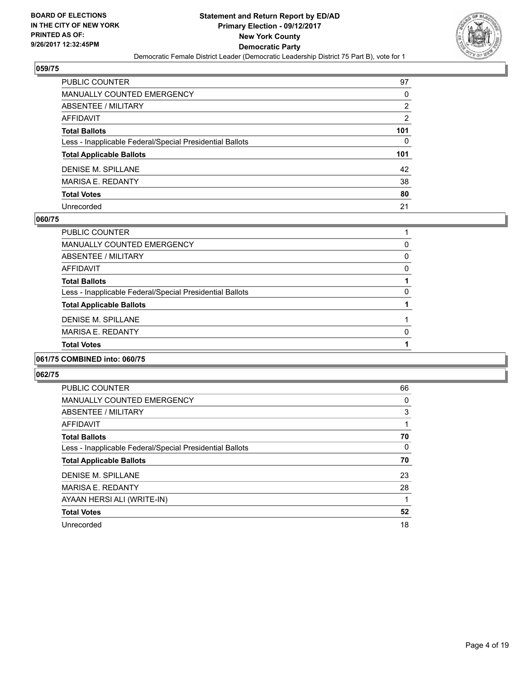

| PUBLIC COUNTER                                           | 97  |
|----------------------------------------------------------|-----|
| <b>MANUALLY COUNTED EMERGENCY</b>                        | 0   |
| <b>ABSENTEE / MILITARY</b>                               | 2   |
| AFFIDAVIT                                                | 2   |
| <b>Total Ballots</b>                                     | 101 |
| Less - Inapplicable Federal/Special Presidential Ballots | 0   |
| <b>Total Applicable Ballots</b>                          | 101 |
| <b>DENISE M. SPILLANE</b>                                | 42  |
| <b>MARISA E. REDANTY</b>                                 | 38  |
| <b>Total Votes</b>                                       | 80  |
| Unrecorded                                               | 21  |

#### **060/75**

| A                                                        |   |
|----------------------------------------------------------|---|
| <b>Total Votes</b>                                       |   |
| <b>MARISA E. REDANTY</b>                                 | 0 |
| DENISE M. SPILLANE                                       |   |
| <b>Total Applicable Ballots</b>                          |   |
| Less - Inapplicable Federal/Special Presidential Ballots | 0 |
| <b>Total Ballots</b>                                     |   |
| AFFIDAVIT                                                | 0 |
| ABSENTEE / MILITARY                                      | 0 |
| <b>MANUALLY COUNTED EMERGENCY</b>                        | 0 |
| <b>PUBLIC COUNTER</b>                                    |   |

## **061/75 COMBINED into: 060/75**

| <b>PUBLIC COUNTER</b>                                    | 66 |
|----------------------------------------------------------|----|
| <b>MANUALLY COUNTED EMERGENCY</b>                        | 0  |
| ABSENTEE / MILITARY                                      | 3  |
| AFFIDAVIT                                                |    |
| <b>Total Ballots</b>                                     | 70 |
| Less - Inapplicable Federal/Special Presidential Ballots | 0  |
| <b>Total Applicable Ballots</b>                          | 70 |
| DENISE M. SPILLANE                                       | 23 |
| <b>MARISA E. REDANTY</b>                                 | 28 |
| AYAAN HERSI ALI (WRITE-IN)                               |    |
| <b>Total Votes</b>                                       | 52 |
| Unrecorded                                               | 18 |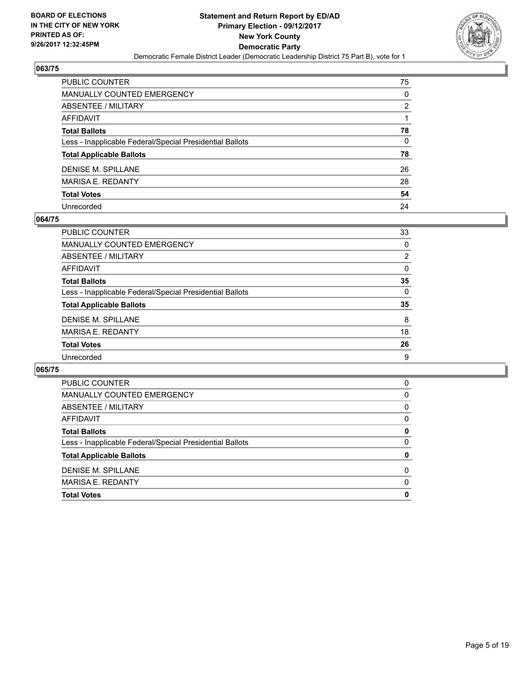

| <b>PUBLIC COUNTER</b>                                    | 75 |
|----------------------------------------------------------|----|
| <b>MANUALLY COUNTED EMERGENCY</b>                        | 0  |
| <b>ABSENTEE / MILITARY</b>                               | 2  |
| <b>AFFIDAVIT</b>                                         |    |
| <b>Total Ballots</b>                                     | 78 |
| Less - Inapplicable Federal/Special Presidential Ballots | 0  |
| <b>Total Applicable Ballots</b>                          | 78 |
| <b>DENISE M. SPILLANE</b>                                | 26 |
| <b>MARISA E. REDANTY</b>                                 | 28 |
| <b>Total Votes</b>                                       | 54 |
| Unrecorded                                               | 24 |

#### **064/75**

| <b>PUBLIC COUNTER</b>                                    | 33       |
|----------------------------------------------------------|----------|
| MANUALLY COUNTED EMERGENCY                               | 0        |
| ABSENTEE / MILITARY                                      | 2        |
| AFFIDAVIT                                                | $\Omega$ |
| <b>Total Ballots</b>                                     | 35       |
| Less - Inapplicable Federal/Special Presidential Ballots | 0        |
| <b>Total Applicable Ballots</b>                          | 35       |
| <b>DENISE M. SPILLANE</b>                                | 8        |
| <b>MARISA E. REDANTY</b>                                 | 18       |
| <b>Total Votes</b>                                       | 26       |
| Unrecorded                                               | 9        |

| <b>PUBLIC COUNTER</b>                                    | 0        |
|----------------------------------------------------------|----------|
| MANUALLY COUNTED EMERGENCY                               | 0        |
| ABSENTEE / MILITARY                                      | 0        |
| AFFIDAVIT                                                | 0        |
| <b>Total Ballots</b>                                     | 0        |
| Less - Inapplicable Federal/Special Presidential Ballots | 0        |
| <b>Total Applicable Ballots</b>                          | 0        |
| DENISE M. SPILLANE                                       | 0        |
| <b>MARISA E. REDANTY</b>                                 | $\Omega$ |
| <b>Total Votes</b>                                       | 0        |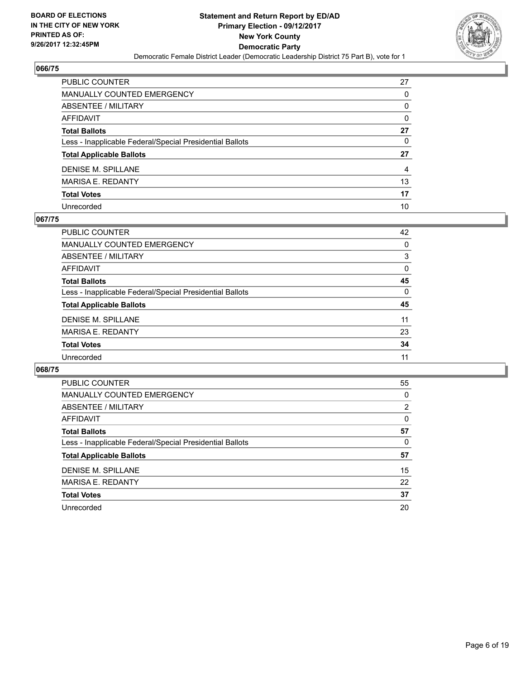

| PUBLIC COUNTER                                           | 27 |
|----------------------------------------------------------|----|
| <b>MANUALLY COUNTED EMERGENCY</b>                        | 0  |
| <b>ABSENTEE / MILITARY</b>                               | 0  |
| AFFIDAVIT                                                | 0  |
| <b>Total Ballots</b>                                     | 27 |
| Less - Inapplicable Federal/Special Presidential Ballots | 0  |
| <b>Total Applicable Ballots</b>                          | 27 |
| <b>DENISE M. SPILLANE</b>                                | 4  |
| <b>MARISA E. REDANTY</b>                                 | 13 |
| <b>Total Votes</b>                                       | 17 |
| Unrecorded                                               | 10 |

#### **067/75**

| PUBLIC COUNTER                                           | 42       |
|----------------------------------------------------------|----------|
| <b>MANUALLY COUNTED EMERGENCY</b>                        | 0        |
| ABSENTEE / MILITARY                                      | 3        |
| AFFIDAVIT                                                | $\Omega$ |
| <b>Total Ballots</b>                                     | 45       |
| Less - Inapplicable Federal/Special Presidential Ballots | 0        |
| <b>Total Applicable Ballots</b>                          | 45       |
| DENISE M. SPILLANE                                       | 11       |
| <b>MARISA E. REDANTY</b>                                 | 23       |
| <b>Total Votes</b>                                       | 34       |
| Unrecorded                                               | 11       |

| <b>PUBLIC COUNTER</b>                                    | 55 |
|----------------------------------------------------------|----|
| <b>MANUALLY COUNTED EMERGENCY</b>                        | 0  |
| ABSENTEE / MILITARY                                      | 2  |
| AFFIDAVIT                                                | 0  |
| <b>Total Ballots</b>                                     | 57 |
| Less - Inapplicable Federal/Special Presidential Ballots | 0  |
| <b>Total Applicable Ballots</b>                          | 57 |
| <b>DENISE M. SPILLANE</b>                                | 15 |
| MARISA E. REDANTY                                        | 22 |
| <b>Total Votes</b>                                       | 37 |
| Unrecorded                                               | 20 |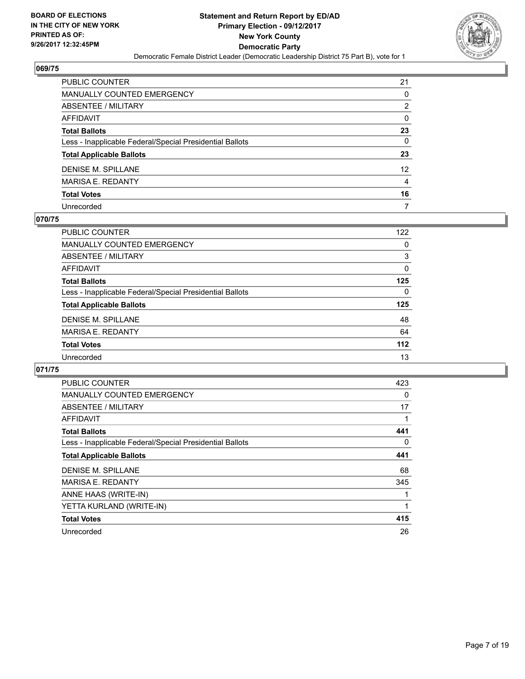

| PUBLIC COUNTER                                           | 21 |
|----------------------------------------------------------|----|
| <b>MANUALLY COUNTED EMERGENCY</b>                        | 0  |
| <b>ABSENTEE / MILITARY</b>                               | 2  |
| AFFIDAVIT                                                | 0  |
| <b>Total Ballots</b>                                     | 23 |
| Less - Inapplicable Federal/Special Presidential Ballots | 0  |
| <b>Total Applicable Ballots</b>                          | 23 |
| <b>DENISE M. SPILLANE</b>                                | 12 |
| <b>MARISA E. REDANTY</b>                                 | 4  |
| <b>Total Votes</b>                                       | 16 |
| Unrecorded                                               | 7  |

#### **070/75**

| PUBLIC COUNTER                                           | 122   |
|----------------------------------------------------------|-------|
| MANUALLY COUNTED EMERGENCY                               | 0     |
| ABSENTEE / MILITARY                                      | 3     |
| AFFIDAVIT                                                | 0     |
| <b>Total Ballots</b>                                     | 125   |
| Less - Inapplicable Federal/Special Presidential Ballots | 0     |
| <b>Total Applicable Ballots</b>                          | 125   |
| DENISE M. SPILLANE                                       | 48    |
| <b>MARISA E. REDANTY</b>                                 | 64    |
| <b>Total Votes</b>                                       | $112$ |
| Unrecorded                                               | 13    |

| <b>PUBLIC COUNTER</b>                                    | 423 |
|----------------------------------------------------------|-----|
| <b>MANUALLY COUNTED EMERGENCY</b>                        | 0   |
| ABSENTEE / MILITARY                                      | 17  |
| AFFIDAVIT                                                |     |
| <b>Total Ballots</b>                                     | 441 |
| Less - Inapplicable Federal/Special Presidential Ballots | 0   |
| <b>Total Applicable Ballots</b>                          | 441 |
| <b>DENISE M. SPILLANE</b>                                | 68  |
| <b>MARISA E. REDANTY</b>                                 | 345 |
| ANNE HAAS (WRITE-IN)                                     |     |
| YETTA KURLAND (WRITE-IN)                                 | 1   |
| <b>Total Votes</b>                                       | 415 |
| Unrecorded                                               | 26  |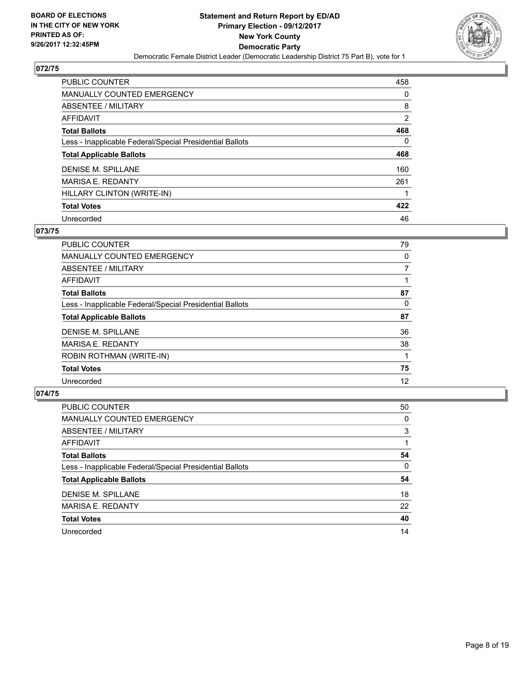

| <b>PUBLIC COUNTER</b>                                    | 458 |
|----------------------------------------------------------|-----|
| <b>MANUALLY COUNTED EMERGENCY</b>                        | 0   |
| ABSENTEE / MILITARY                                      | 8   |
| AFFIDAVIT                                                | 2   |
| <b>Total Ballots</b>                                     | 468 |
| Less - Inapplicable Federal/Special Presidential Ballots | 0   |
| <b>Total Applicable Ballots</b>                          | 468 |
| DENISE M. SPILLANE                                       | 160 |
| <b>MARISA E. REDANTY</b>                                 | 261 |
| HILLARY CLINTON (WRITE-IN)                               |     |
| <b>Total Votes</b>                                       | 422 |
| Unrecorded                                               | 46  |

#### **073/75**

| <b>PUBLIC COUNTER</b>                                    | 79 |
|----------------------------------------------------------|----|
| MANUALLY COUNTED EMERGENCY                               | 0  |
| ABSENTEE / MILITARY                                      | 7  |
| AFFIDAVIT                                                |    |
| <b>Total Ballots</b>                                     | 87 |
| Less - Inapplicable Federal/Special Presidential Ballots | 0  |
| <b>Total Applicable Ballots</b>                          | 87 |
| <b>DENISE M. SPILLANE</b>                                | 36 |
| <b>MARISA E. REDANTY</b>                                 | 38 |
| ROBIN ROTHMAN (WRITE-IN)                                 |    |
| <b>Total Votes</b>                                       | 75 |
| Unrecorded                                               | 12 |

| PUBLIC COUNTER                                           | 50 |
|----------------------------------------------------------|----|
| MANUALLY COUNTED EMERGENCY                               | 0  |
| ABSENTEE / MILITARY                                      | 3  |
| AFFIDAVIT                                                |    |
| <b>Total Ballots</b>                                     | 54 |
| Less - Inapplicable Federal/Special Presidential Ballots | 0  |
| <b>Total Applicable Ballots</b>                          | 54 |
| DENISE M. SPILLANE                                       | 18 |
| <b>MARISA E. REDANTY</b>                                 | 22 |
| <b>Total Votes</b>                                       | 40 |
| Unrecorded                                               | 14 |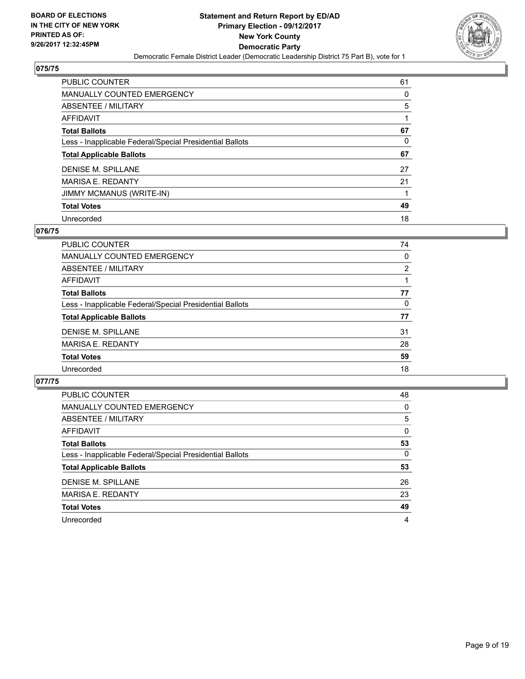

| <b>PUBLIC COUNTER</b>                                    | 61 |
|----------------------------------------------------------|----|
| <b>MANUALLY COUNTED EMERGENCY</b>                        | 0  |
| ABSENTEE / MILITARY                                      | 5  |
| AFFIDAVIT                                                |    |
| <b>Total Ballots</b>                                     | 67 |
| Less - Inapplicable Federal/Special Presidential Ballots | 0  |
| <b>Total Applicable Ballots</b>                          | 67 |
| DENISE M. SPILLANE                                       | 27 |
| <b>MARISA E. REDANTY</b>                                 | 21 |
|                                                          |    |
| <b>JIMMY MCMANUS (WRITE-IN)</b>                          |    |
| <b>Total Votes</b>                                       | 49 |

#### **076/75**

| PUBLIC COUNTER                                           | 74             |
|----------------------------------------------------------|----------------|
| MANUALLY COUNTED EMERGENCY                               | 0              |
| ABSENTEE / MILITARY                                      | $\overline{2}$ |
| <b>AFFIDAVIT</b>                                         |                |
| <b>Total Ballots</b>                                     | 77             |
| Less - Inapplicable Federal/Special Presidential Ballots | 0              |
| <b>Total Applicable Ballots</b>                          | 77             |
| DENISE M. SPILLANE                                       | 31             |
| <b>MARISA E. REDANTY</b>                                 | 28             |
| <b>Total Votes</b>                                       | 59             |
| Unrecorded                                               | 18             |

| PUBLIC COUNTER                                           | 48 |
|----------------------------------------------------------|----|
| MANUALLY COUNTED EMERGENCY                               | 0  |
| ABSENTEE / MILITARY                                      | 5  |
| AFFIDAVIT                                                | 0  |
| <b>Total Ballots</b>                                     | 53 |
| Less - Inapplicable Federal/Special Presidential Ballots | 0  |
| <b>Total Applicable Ballots</b>                          | 53 |
| DENISE M. SPILLANE                                       | 26 |
| <b>MARISA E. REDANTY</b>                                 | 23 |
| <b>Total Votes</b>                                       | 49 |
| Unrecorded                                               | 4  |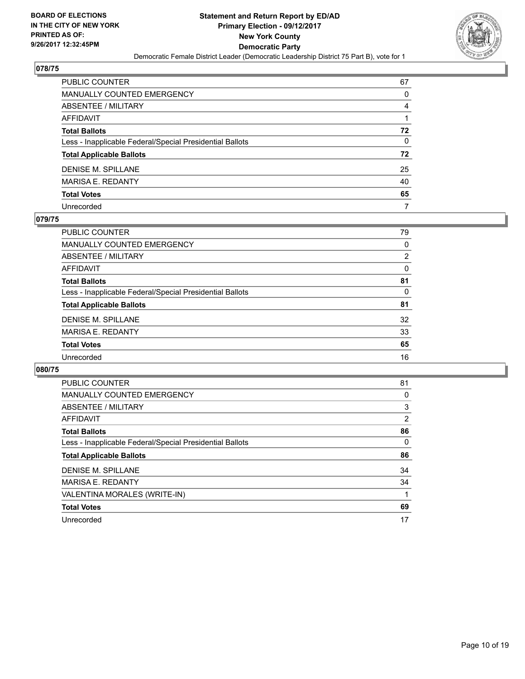

| PUBLIC COUNTER                                           | 67           |
|----------------------------------------------------------|--------------|
| <b>MANUALLY COUNTED EMERGENCY</b>                        | 0            |
| <b>ABSENTEE / MILITARY</b>                               | 4            |
| AFFIDAVIT                                                |              |
| <b>Total Ballots</b>                                     | 72           |
| Less - Inapplicable Federal/Special Presidential Ballots | $\mathbf{0}$ |
| <b>Total Applicable Ballots</b>                          | 72           |
| <b>DENISE M. SPILLANE</b>                                | 25           |
| <b>MARISA E. REDANTY</b>                                 | 40           |
| <b>Total Votes</b>                                       | 65           |
| Unrecorded                                               | 7            |

#### **079/75**

| <b>PUBLIC COUNTER</b>                                    | 79             |
|----------------------------------------------------------|----------------|
| <b>MANUALLY COUNTED EMERGENCY</b>                        | 0              |
| ABSENTEE / MILITARY                                      | $\overline{2}$ |
| AFFIDAVIT                                                | $\Omega$       |
| <b>Total Ballots</b>                                     | 81             |
| Less - Inapplicable Federal/Special Presidential Ballots | 0              |
| <b>Total Applicable Ballots</b>                          | 81             |
| DENISE M. SPILLANE                                       | 32             |
| <b>MARISA E. REDANTY</b>                                 | 33             |
| <b>Total Votes</b>                                       | 65             |
| Unrecorded                                               | 16             |
|                                                          |                |

| PUBLIC COUNTER                                           | 81 |
|----------------------------------------------------------|----|
| <b>MANUALLY COUNTED EMERGENCY</b>                        | 0  |
| ABSENTEE / MILITARY                                      | 3  |
| AFFIDAVIT                                                | 2  |
| <b>Total Ballots</b>                                     | 86 |
| Less - Inapplicable Federal/Special Presidential Ballots | 0  |
| <b>Total Applicable Ballots</b>                          | 86 |
| <b>DENISE M. SPILLANE</b>                                | 34 |
| <b>MARISA E. REDANTY</b>                                 | 34 |
| VALENTINA MORALES (WRITE-IN)                             |    |
| <b>Total Votes</b>                                       | 69 |
| Unrecorded                                               | 17 |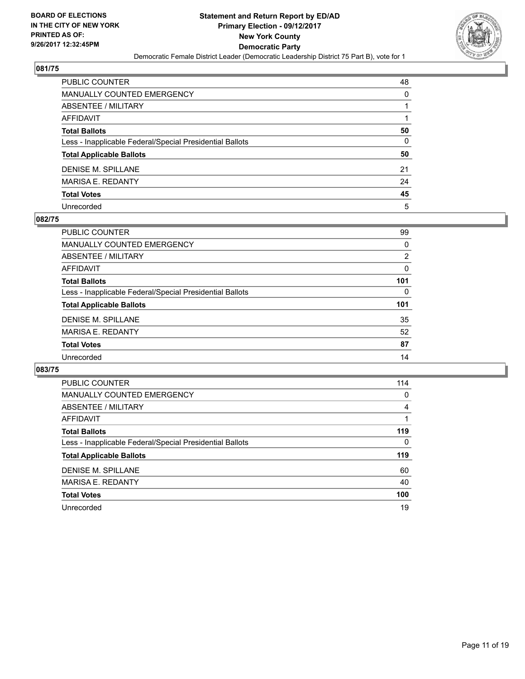

| PUBLIC COUNTER                                           | 48           |
|----------------------------------------------------------|--------------|
| MANUALLY COUNTED EMERGENCY                               | 0            |
| ABSENTEE / MILITARY                                      |              |
| AFFIDAVIT                                                |              |
| Total Ballots                                            | 50           |
| Less - Inapplicable Federal/Special Presidential Ballots | $\mathbf{0}$ |
| <b>Total Applicable Ballots</b>                          | 50           |
| DENISE M. SPILLANE                                       | 21           |
| MARISA E. REDANTY                                        | 24           |
| <b>Total Votes</b>                                       | 45           |
| Unrecorded                                               | 5            |

#### **082/75**

| PUBLIC COUNTER                                           | 99  |
|----------------------------------------------------------|-----|
| MANUALLY COUNTED EMERGENCY                               | 0   |
| ABSENTEE / MILITARY                                      | 2   |
| AFFIDAVIT                                                | 0   |
| <b>Total Ballots</b>                                     | 101 |
| Less - Inapplicable Federal/Special Presidential Ballots | 0   |
| <b>Total Applicable Ballots</b>                          | 101 |
| DENISE M. SPILLANE                                       | 35  |
| <b>MARISA E. REDANTY</b>                                 | 52  |
| <b>Total Votes</b>                                       | 87  |
| Unrecorded                                               | 14  |

| <b>PUBLIC COUNTER</b>                                    | 114 |
|----------------------------------------------------------|-----|
| <b>MANUALLY COUNTED EMERGENCY</b>                        | 0   |
| ABSENTEE / MILITARY                                      | 4   |
| AFFIDAVIT                                                |     |
| <b>Total Ballots</b>                                     | 119 |
| Less - Inapplicable Federal/Special Presidential Ballots | 0   |
| <b>Total Applicable Ballots</b>                          | 119 |
| <b>DENISE M. SPILLANE</b>                                | 60  |
| <b>MARISA E. REDANTY</b>                                 | 40  |
| <b>Total Votes</b>                                       | 100 |
| Unrecorded                                               | 19  |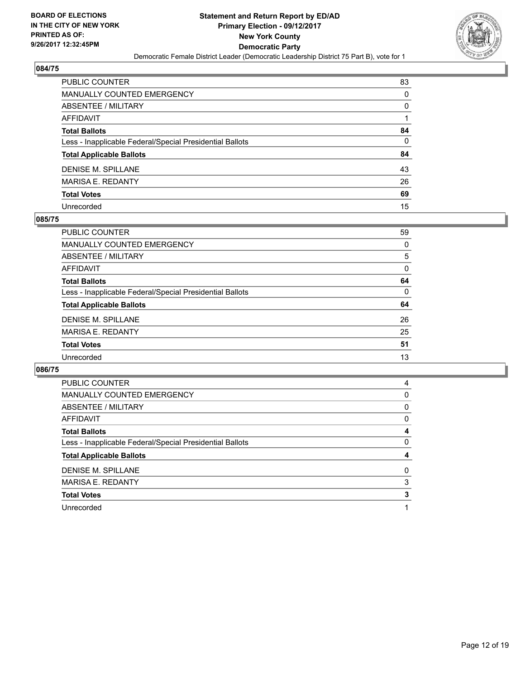

| PUBLIC COUNTER                                           | 83           |
|----------------------------------------------------------|--------------|
| <b>MANUALLY COUNTED EMERGENCY</b>                        | $\Omega$     |
| ABSENTEE / MILITARY                                      | 0            |
| <b>AFFIDAVIT</b>                                         |              |
| <b>Total Ballots</b>                                     | 84           |
| Less - Inapplicable Federal/Special Presidential Ballots | $\mathbf{0}$ |
| <b>Total Applicable Ballots</b>                          | 84           |
| <b>DENISE M. SPILLANE</b>                                | 43           |
| <b>MARISA E. REDANTY</b>                                 | 26           |
| <b>Total Votes</b>                                       | 69           |
| Unrecorded                                               | 15           |

#### **085/75**

| PUBLIC COUNTER                                           | 59 |
|----------------------------------------------------------|----|
| <b>MANUALLY COUNTED EMERGENCY</b>                        | 0  |
| ABSENTEE / MILITARY                                      | 5  |
| AFFIDAVIT                                                | 0  |
| <b>Total Ballots</b>                                     | 64 |
| Less - Inapplicable Federal/Special Presidential Ballots | 0  |
| <b>Total Applicable Ballots</b>                          | 64 |
| DENISE M. SPILLANE                                       | 26 |
| <b>MARISA E. REDANTY</b>                                 | 25 |
| <b>Total Votes</b>                                       | 51 |
| Unrecorded                                               | 13 |

| <b>PUBLIC COUNTER</b>                                    | 4 |
|----------------------------------------------------------|---|
| MANUALLY COUNTED EMERGENCY                               | 0 |
| ABSENTEE / MILITARY                                      | 0 |
| AFFIDAVIT                                                | 0 |
| <b>Total Ballots</b>                                     | 4 |
| Less - Inapplicable Federal/Special Presidential Ballots | 0 |
|                                                          |   |
| <b>Total Applicable Ballots</b>                          | 4 |
| DENISE M. SPILLANE                                       | 0 |
| <b>MARISA E. REDANTY</b>                                 | 3 |
| <b>Total Votes</b>                                       | 3 |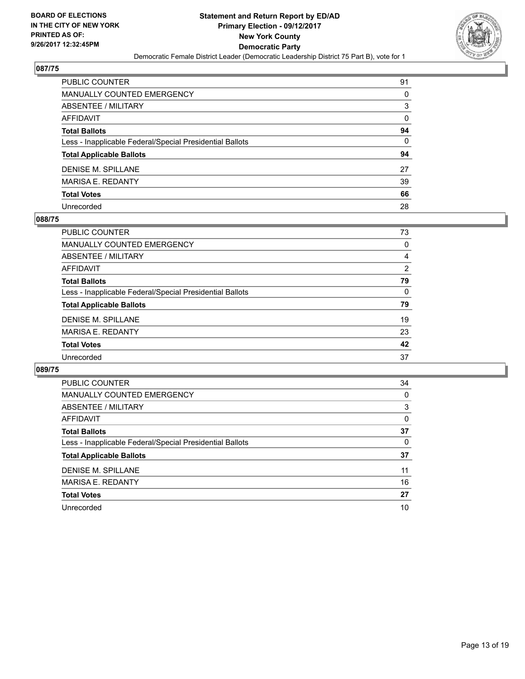

| PUBLIC COUNTER                                           | 91           |
|----------------------------------------------------------|--------------|
| MANUALLY COUNTED EMERGENCY                               | 0            |
| ABSENTEE / MILITARY                                      | 3            |
| AFFIDAVIT                                                | 0            |
| Total Ballots                                            | 94           |
| Less - Inapplicable Federal/Special Presidential Ballots | $\mathbf{0}$ |
| <b>Total Applicable Ballots</b>                          | 94           |
| DENISE M. SPILLANE                                       | 27           |
| MARISA E. REDANTY                                        | 39           |
| <b>Total Votes</b>                                       | 66           |
| Unrecorded                                               | 28           |

#### **088/75**

| <b>PUBLIC COUNTER</b>                                    | 73 |
|----------------------------------------------------------|----|
| MANUALLY COUNTED EMERGENCY                               | 0  |
| ABSENTEE / MILITARY                                      | 4  |
| AFFIDAVIT                                                | 2  |
| <b>Total Ballots</b>                                     | 79 |
| Less - Inapplicable Federal/Special Presidential Ballots | 0  |
| <b>Total Applicable Ballots</b>                          | 79 |
| DENISE M. SPILLANE                                       | 19 |
| <b>MARISA E. REDANTY</b>                                 | 23 |
| <b>Total Votes</b>                                       | 42 |
| Unrecorded                                               | 37 |
|                                                          |    |

| <b>PUBLIC COUNTER</b>                                    | 34 |
|----------------------------------------------------------|----|
| <b>MANUALLY COUNTED EMERGENCY</b>                        | 0  |
| ABSENTEE / MILITARY                                      | 3  |
| <b>AFFIDAVIT</b>                                         | 0  |
| <b>Total Ballots</b>                                     | 37 |
| Less - Inapplicable Federal/Special Presidential Ballots | 0  |
| <b>Total Applicable Ballots</b>                          | 37 |
| <b>DENISE M. SPILLANE</b>                                | 11 |
| <b>MARISA E. REDANTY</b>                                 | 16 |
| <b>Total Votes</b>                                       | 27 |
| Unrecorded                                               | 10 |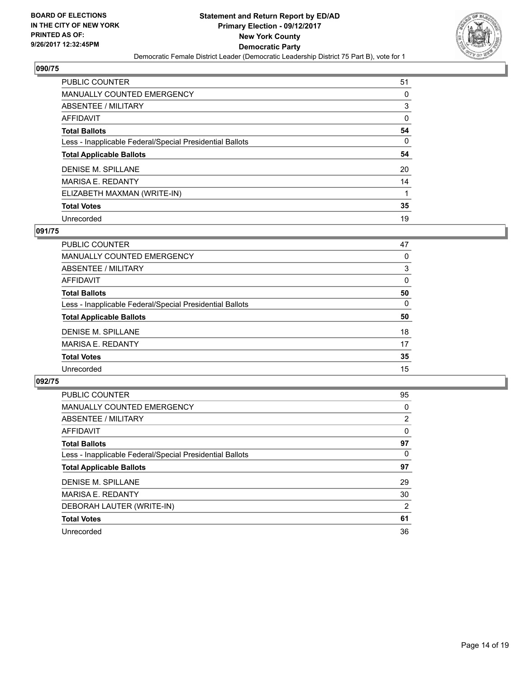

| <b>PUBLIC COUNTER</b>                                    | 51 |
|----------------------------------------------------------|----|
| <b>MANUALLY COUNTED EMERGENCY</b>                        | 0  |
| ABSENTEE / MILITARY                                      | 3  |
| AFFIDAVIT                                                | 0  |
| <b>Total Ballots</b>                                     | 54 |
| Less - Inapplicable Federal/Special Presidential Ballots | 0  |
| <b>Total Applicable Ballots</b>                          | 54 |
| DENISE M. SPILLANE                                       | 20 |
| <b>MARISA E. REDANTY</b>                                 | 14 |
| ELIZABETH MAXMAN (WRITE-IN)                              |    |
| <b>Total Votes</b>                                       | 35 |
| Unrecorded                                               | 19 |

#### **091/75**

| <b>PUBLIC COUNTER</b>                                    | 47 |
|----------------------------------------------------------|----|
| MANUALLY COUNTED EMERGENCY                               | 0  |
| ABSENTEE / MILITARY                                      | 3  |
| <b>AFFIDAVIT</b>                                         | 0  |
| <b>Total Ballots</b>                                     | 50 |
| Less - Inapplicable Federal/Special Presidential Ballots | 0  |
| <b>Total Applicable Ballots</b>                          | 50 |
| DENISE M. SPILLANE                                       | 18 |
| <b>MARISA E. REDANTY</b>                                 | 17 |
| <b>Total Votes</b>                                       | 35 |
| Unrecorded                                               | 15 |

| <b>PUBLIC COUNTER</b>                                    | 95             |
|----------------------------------------------------------|----------------|
| <b>MANUALLY COUNTED EMERGENCY</b>                        | 0              |
| ABSENTEE / MILITARY                                      | $\overline{2}$ |
| AFFIDAVIT                                                | $\Omega$       |
| <b>Total Ballots</b>                                     | 97             |
| Less - Inapplicable Federal/Special Presidential Ballots | 0              |
| <b>Total Applicable Ballots</b>                          | 97             |
| <b>DENISE M. SPILLANE</b>                                | 29             |
| <b>MARISA E. REDANTY</b>                                 | 30             |
| DEBORAH LAUTER (WRITE-IN)                                | 2              |
| <b>Total Votes</b>                                       | 61             |
| Unrecorded                                               | 36             |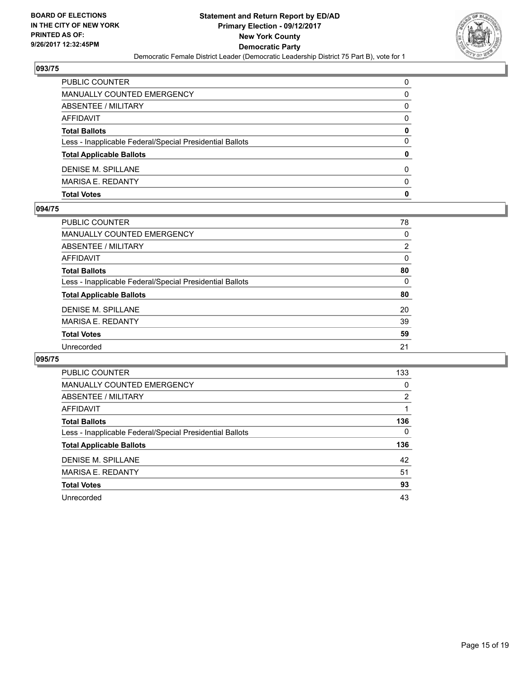

| PUBLIC COUNTER                                           | $\Omega$ |
|----------------------------------------------------------|----------|
| MANUALLY COUNTED EMERGENCY                               | 0        |
| <b>ABSENTEE / MILITARY</b>                               | 0        |
| AFFIDAVIT                                                | 0        |
| <b>Total Ballots</b>                                     | 0        |
| Less - Inapplicable Federal/Special Presidential Ballots | 0        |
| <b>Total Applicable Ballots</b>                          | 0        |
| <b>DENISE M. SPILLANE</b>                                | $\Omega$ |
| <b>MARISA E. REDANTY</b>                                 | $\Omega$ |
| <b>Total Votes</b>                                       | 0        |

#### **094/75**

| PUBLIC COUNTER                                           | 78 |
|----------------------------------------------------------|----|
| <b>MANUALLY COUNTED EMERGENCY</b>                        | 0  |
| ABSENTEE / MILITARY                                      | 2  |
| <b>AFFIDAVIT</b>                                         | 0  |
| <b>Total Ballots</b>                                     | 80 |
| Less - Inapplicable Federal/Special Presidential Ballots | 0  |
| <b>Total Applicable Ballots</b>                          | 80 |
| <b>DENISE M. SPILLANE</b>                                | 20 |
| <b>MARISA E. REDANTY</b>                                 | 39 |
| <b>Total Votes</b>                                       | 59 |
| Unrecorded                                               | 21 |
|                                                          |    |

| <b>PUBLIC COUNTER</b>                                    | 133 |
|----------------------------------------------------------|-----|
| <b>MANUALLY COUNTED EMERGENCY</b>                        | 0   |
| ABSENTEE / MILITARY                                      | 2   |
| AFFIDAVIT                                                |     |
| <b>Total Ballots</b>                                     | 136 |
| Less - Inapplicable Federal/Special Presidential Ballots | 0   |
| <b>Total Applicable Ballots</b>                          | 136 |
| <b>DENISE M. SPILLANE</b>                                | 42  |
| <b>MARISA E. REDANTY</b>                                 | 51  |
| <b>Total Votes</b>                                       | 93  |
| Unrecorded                                               | 43  |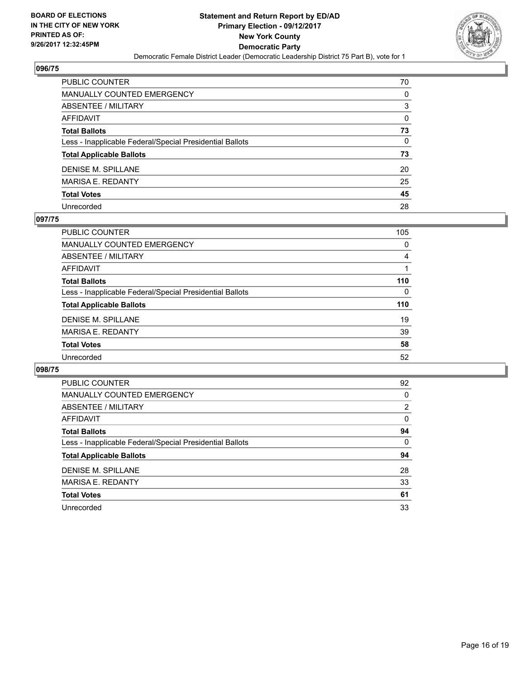

| PUBLIC COUNTER                                           | 70 |
|----------------------------------------------------------|----|
| MANUALLY COUNTED EMERGENCY                               | 0  |
| ABSENTEE / MILITARY                                      | 3  |
| AFFIDAVIT                                                | 0  |
| Total Ballots                                            | 73 |
| Less - Inapplicable Federal/Special Presidential Ballots | 0  |
| <b>Total Applicable Ballots</b>                          | 73 |
| DENISE M. SPILLANE                                       | 20 |
| MARISA E. REDANTY                                        | 25 |
| <b>Total Votes</b>                                       | 45 |
| Unrecorded                                               | 28 |

#### **097/75**

| <b>PUBLIC COUNTER</b>                                    | 105 |
|----------------------------------------------------------|-----|
| MANUALLY COUNTED EMERGENCY                               | 0   |
| ABSENTEE / MILITARY                                      | 4   |
| AFFIDAVIT                                                |     |
| <b>Total Ballots</b>                                     | 110 |
| Less - Inapplicable Federal/Special Presidential Ballots | 0   |
| <b>Total Applicable Ballots</b>                          | 110 |
| <b>DENISE M. SPILLANE</b>                                | 19  |
| <b>MARISA E. REDANTY</b>                                 | 39  |
| <b>Total Votes</b>                                       | 58  |
| Unrecorded                                               | 52  |

| <b>PUBLIC COUNTER</b>                                    | 92             |
|----------------------------------------------------------|----------------|
| <b>MANUALLY COUNTED EMERGENCY</b>                        | 0              |
| ABSENTEE / MILITARY                                      | $\overline{2}$ |
| AFFIDAVIT                                                | 0              |
| <b>Total Ballots</b>                                     | 94             |
| Less - Inapplicable Federal/Special Presidential Ballots | 0              |
| <b>Total Applicable Ballots</b>                          | 94             |
| <b>DENISE M. SPILLANE</b>                                | 28             |
| <b>MARISA E. REDANTY</b>                                 | 33             |
| <b>Total Votes</b>                                       | 61             |
| Unrecorded                                               | 33             |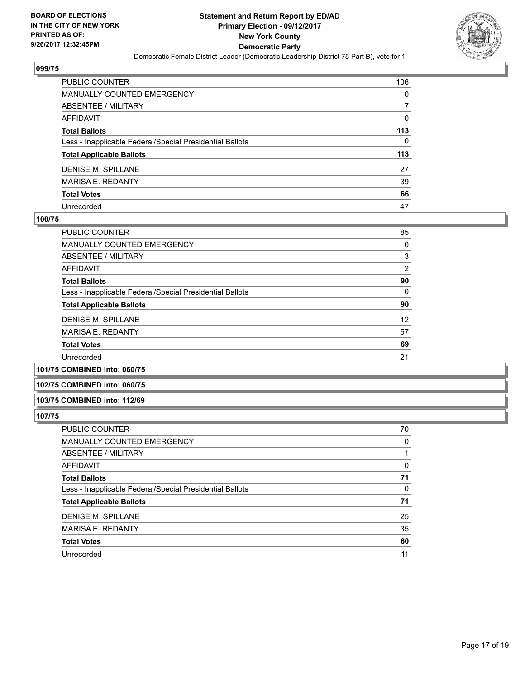

| PUBLIC COUNTER                                           | 106 |
|----------------------------------------------------------|-----|
| <b>MANUALLY COUNTED EMERGENCY</b>                        | 0   |
| <b>ABSENTEE / MILITARY</b>                               |     |
| <b>AFFIDAVIT</b>                                         | 0   |
| <b>Total Ballots</b>                                     | 113 |
| Less - Inapplicable Federal/Special Presidential Ballots | 0   |
| <b>Total Applicable Ballots</b>                          | 113 |
| <b>DENISE M. SPILLANE</b>                                | 27  |
| <b>MARISA E. REDANTY</b>                                 | 39  |
| <b>Total Votes</b>                                       | 66  |
| Unrecorded                                               | 47  |

#### **100/75**

| PUBLIC COUNTER                                           | 85             |
|----------------------------------------------------------|----------------|
| <b>MANUALLY COUNTED EMERGENCY</b>                        | 0              |
| ABSENTEE / MILITARY                                      | 3              |
| <b>AFFIDAVIT</b>                                         | $\overline{2}$ |
| <b>Total Ballots</b>                                     | 90             |
| Less - Inapplicable Federal/Special Presidential Ballots | 0              |
| <b>Total Applicable Ballots</b>                          | 90             |
| <b>DENISE M. SPILLANE</b>                                | 12             |
| <b>MARISA E. REDANTY</b>                                 | 57             |
| <b>Total Votes</b>                                       | 69             |
| Unrecorded                                               | 21             |
| .                                                        |                |

#### **101/75 COMBINED into: 060/75**

#### **102/75 COMBINED into: 060/75**

#### **103/75 COMBINED into: 112/69**

| <b>PUBLIC COUNTER</b>                                    | 70 |
|----------------------------------------------------------|----|
| MANUALLY COUNTED EMERGENCY                               | 0  |
| ABSENTEE / MILITARY                                      |    |
| AFFIDAVIT                                                | 0  |
| <b>Total Ballots</b>                                     | 71 |
| Less - Inapplicable Federal/Special Presidential Ballots | 0  |
| <b>Total Applicable Ballots</b>                          | 71 |
| DENISE M. SPILLANE                                       | 25 |
| <b>MARISA E. REDANTY</b>                                 | 35 |
| <b>Total Votes</b>                                       | 60 |
| Unrecorded                                               | 11 |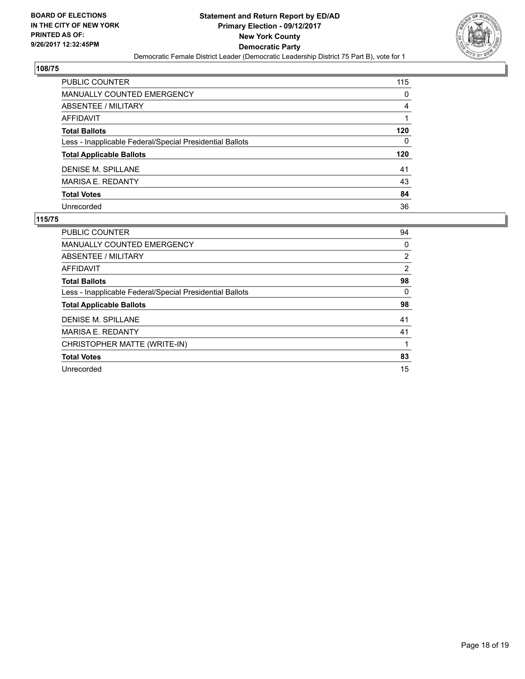

| PUBLIC COUNTER                                           | 115 |
|----------------------------------------------------------|-----|
| <b>MANUALLY COUNTED EMERGENCY</b>                        | 0   |
| ABSENTEE / MILITARY                                      | 4   |
| <b>AFFIDAVIT</b>                                         |     |
| <b>Total Ballots</b>                                     | 120 |
| Less - Inapplicable Federal/Special Presidential Ballots | 0   |
| <b>Total Applicable Ballots</b>                          | 120 |
| <b>DENISE M. SPILLANE</b>                                | 41  |
| <b>MARISA E. REDANTY</b>                                 | 43  |
| <b>Total Votes</b>                                       | 84  |
| Unrecorded                                               | 36  |

| PUBLIC COUNTER                                           | 94 |
|----------------------------------------------------------|----|
| <b>MANUALLY COUNTED EMERGENCY</b>                        | 0  |
| ABSENTEE / MILITARY                                      | 2  |
| AFFIDAVIT                                                | 2  |
| <b>Total Ballots</b>                                     | 98 |
| Less - Inapplicable Federal/Special Presidential Ballots | 0  |
| <b>Total Applicable Ballots</b>                          | 98 |
| <b>DENISE M. SPILLANE</b>                                | 41 |
| <b>MARISA E. REDANTY</b>                                 | 41 |
| CHRISTOPHER MATTE (WRITE-IN)                             |    |
| <b>Total Votes</b>                                       | 83 |
| Unrecorded                                               | 15 |